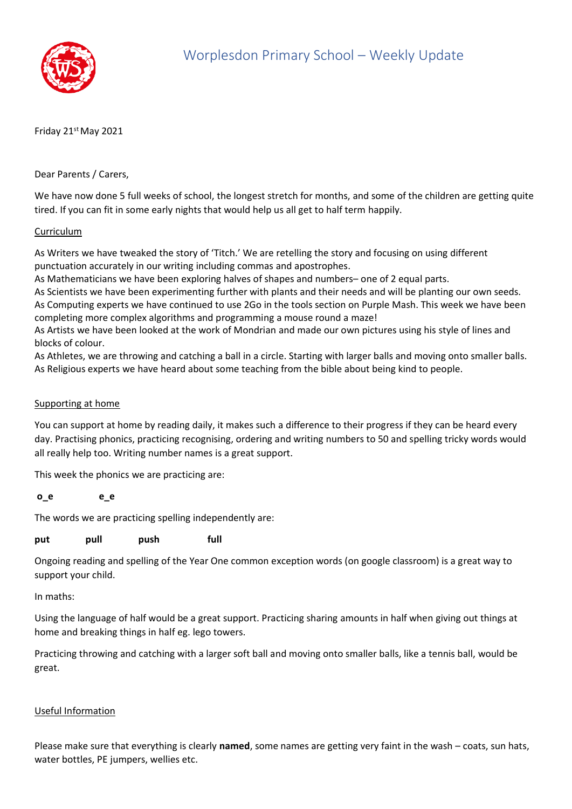

Friday 21st May 2021

Dear Parents / Carers,

We have now done 5 full weeks of school, the longest stretch for months, and some of the children are getting quite tired. If you can fit in some early nights that would help us all get to half term happily.

## Curriculum

As Writers we have tweaked the story of 'Titch.' We are retelling the story and focusing on using different punctuation accurately in our writing including commas and apostrophes.

As Mathematicians we have been exploring halves of shapes and numbers– one of 2 equal parts.

As Scientists we have been experimenting further with plants and their needs and will be planting our own seeds. As Computing experts we have continued to use 2Go in the tools section on Purple Mash. This week we have been completing more complex algorithms and programming a mouse round a maze!

As Artists we have been looked at the work of Mondrian and made our own pictures using his style of lines and blocks of colour.

As Athletes, we are throwing and catching a ball in a circle. Starting with larger balls and moving onto smaller balls. As Religious experts we have heard about some teaching from the bible about being kind to people.

## Supporting at home

You can support at home by reading daily, it makes such a difference to their progress if they can be heard every day. Practising phonics, practicing recognising, ordering and writing numbers to 50 and spelling tricky words would all really help too. Writing number names is a great support.

This week the phonics we are practicing are:

## **o\_e e\_e**

The words we are practicing spelling independently are:

**put pull push full**

Ongoing reading and spelling of the Year One common exception words (on google classroom) is a great way to support your child.

In maths:

Using the language of half would be a great support. Practicing sharing amounts in half when giving out things at home and breaking things in half eg. lego towers.

Practicing throwing and catching with a larger soft ball and moving onto smaller balls, like a tennis ball, would be great.

## Useful Information

Please make sure that everything is clearly **named**, some names are getting very faint in the wash – coats, sun hats, water bottles, PE jumpers, wellies etc.